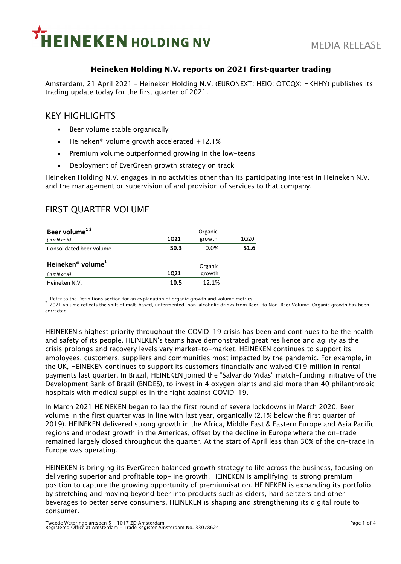

## **Heineken Holding N.V. reports on 2021 first-quarter trading**

Amsterdam, 21 April 2021 – Heineken Holding N.V. (EURONEXT: HEIO; OTCQX: HKHHY) publishes its trading update today for the first quarter of 2021.

# KEY HIGHLIGHTS

- **EXECT:** Beer volume stable organically
- **•** Heineken<sup>®</sup> volume growth accelerated  $+12.1%$
- Premium volume outperformed growing in the low-teens
- **•** Deployment of EverGreen growth strategy on track

Heineken Holding N.V. engages in no activities other than its participating interest in Heineken N.V. and the management or supervision of and provision of services to that company.

# FIRST QUARTER VOLUME

| Beer volume <sup>12</sup>                 | Organic     |         |      |
|-------------------------------------------|-------------|---------|------|
| (in mhl or $\%$ )                         | <b>1Q21</b> | growth  | 1Q20 |
| Consolidated beer volume                  | 50.3        | 0.0%    | 51.6 |
| Heineken <sup>®</sup> volume <sup>+</sup> |             | Organic |      |
| (in mhl or $\%$ )                         | 1021        | growth  |      |
| Heineken N.V.                             | 10.5        | 12.1%   |      |

1 Refer to the Definitions section for an explanation of organic growth and volume metrics.

<sup>2</sup>2021 volume reflects the shift of malt-based, unfermented, non-alcoholic drinks from Beer- to Non-Beer Volume. Organic growth has been corrected.

HEINEKEN's highest priority throughout the COVID-19 crisis has been and continues to be the health and safety of its people. HEINEKEN's teams have demonstrated great resilience and agility as the crisis prolongs and recovery levels vary market-to-market. HEINEKEN continues to support its employees, customers, suppliers and communities most impacted by the pandemic. For example, in the UK, HEINEKEN continues to support its customers financially and waived €19 million in rental payments last quarter. In Brazil, HEINEKEN joined the "Salvando Vidas" match-funding initiative of the Development Bank of Brazil (BNDES), to invest in 4 oxygen plants and aid more than 40 philanthropic hospitals with medical supplies in the fight against COVID-19.

In March 2021 HEINEKEN began to lap the first round of severe lockdowns in March 2020. Beer volume in the first quarter was in line with last year, organically (2.1% below the first quarter of 2019). HEINEKEN delivered strong growth in the Africa, Middle East & Eastern Europe and Asia Pacific regions and modest growth in the Americas, offset by the decline in Europe where the on-trade remained largely closed throughout the quarter. At the start of April less than 30% of the on-trade in Europe was operating.

HEINEKEN is bringing its EverGreen balanced growth strategy to life across the business, focusing on delivering superior and profitable top-line growth. HEINEKEN is amplifying its strong premium position to capture the growing opportunity of premiumisation. HEINEKEN is expanding its portfolio by stretching and moving beyond beer into products such as ciders, hard seltzers and other beverages to better serve consumers. HEINEKEN is shaping and strengthening its digital route to consumer.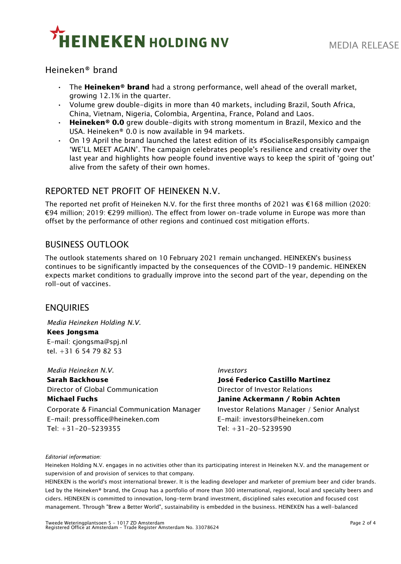

# Heineken® brand

- The **Heineken® brand** had a strong performance, well ahead of the overall market, growing 12.1% in the quarter.
- Volume grew double-digits in more than 40 markets, including Brazil, South Africa, China, Vietnam, Nigeria, Colombia, Argentina, France, Poland and Laos.
- **Heineken® 0.0** grew double-digits with strong momentum in Brazil, Mexico and the USA. Heineken® 0.0 is now available in 94 markets.
- $\cdot$  On 19 April the brand launched the latest edition of its #SocialiseResponsibly campaign 'WE'LL MEET AGAIN'. The campaign celebrates people's resilience and creativity over the last year and highlights how people found inventive ways to keep the spirit of 'going out' alive from the safety of their own homes.

# REPORTED NET PROFIT OF HEINEKEN N.V.

The reported net profit of Heineken N.V. for the first three months of 2021 was €168 million (2020: €94 million; 2019: €299 million). The effect from lower on-trade volume in Europe was more than offset by the performance of other regions and continued cost mitigation efforts.

# BUSINESS OUTLOOK

The outlook statements shared on 10 February 2021 remain unchanged. HEINEKEN's business continues to be significantly impacted by the consequences of the COVID-19 pandemic. HEINEKEN expects market conditions to gradually improve into the second part of the year, depending on the roll-out of vaccines.

# ENQUIRIES

*Media Heineken Holding N.V.* **Kees Jongsma** E-mail: cjongsma@spj.nl tel. +31 6 54 79 82 53

*Media Heineken N.V. Investors* **Sarah Backhouse José Federico Castillo Martinez** Director of Global Communication Director of Investor Relations **Michael Fuchs Janine Ackermann / Robin Achten** Corporate & Financial Communication Manager Investor Relations Manager / Senior Analyst E-mail: pressoffice@heineken.com E-mail: investors@heineken.com Tel: +31-20-5239355 Tel: +31-20-5239590

#### *Editorial information:*

Heineken Holding N.V. engages in no activities other than its participating interest in Heineken N.V. and the management or supervision of and provision of services to that company.

HEINEKEN is the world's most international brewer. It is the leading developer and marketer of premium beer and cider brands. Led by the Heineken® brand, the Group has a portfolio of more than 300 international, regional, local and specialty beers and ciders. HEINEKEN is committed to innovation, long-term brand investment, disciplined sales execution and focused cost management. Through "Brew a Better World", sustainability is embedded in the business. HEINEKEN has a well-balanced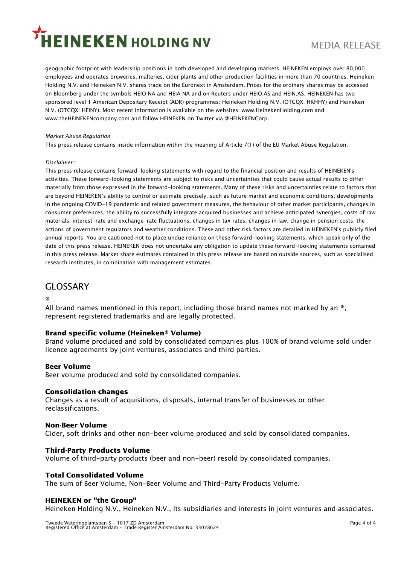# **EINEKEN HOLDING NV**

geographic footprint with leadership positions in both developed and developing markets. HEINEKEN employs over 80,000 employees and operates breweries, malteries, cider plants and other production facilities in more than 70 countries. Heineken Holding N.V. and Heineken N.V. shares trade on the Euronext in Amsterdam. Prices for the ordinary shares may be accessed on Bloomberg under the symbols HEIO NA and HEIA NA and on Reuters under HEIO.AS and HEIN.AS. HEINEKEN has two sponsored level 1 American Depositary Receipt (ADR) programmes: Heineken Holding N.V. (OTCQX: HKHHY) and Heineken N.V. (OTCQX: HEINY). Most recent information is available on the websites: www.HeinekenHolding.com and www.theHEINEKENcompany.com and follow HEINEKEN on Twitter via @HEINEKENCorp.

#### *Market Abuse Regulation*

This press release contains inside information within the meaning of Article 7(1) of the EU Market Abuse Regulation.

#### *Disclaimer:*

This press release contains forward-looking statements with regard to the financial position and results of HEINEKEN's activities. These forward-looking statements are subject to risks and uncertainties that could cause actual results to differ materially from those expressed in the forward-looking statements. Many of these risks and uncertainties relate to factors that are beyond HEINEKEN's ability to control or estimate precisely, such as future market and economic conditions, developments in the ongoing COVID-19 pandemic and related government measures, the behaviour of other market participants, changes in consumer preferences, the ability to successfully integrate acquired businesses and achieve anticipated synergies, costs of raw materials, interest-rate and exchange-rate fluctuations, changes in tax rates, changes in law, change in pension costs, the actions of government regulators and weather conditions. These and other risk factors are detailed in HEINEKEN's publicly filed annual reports. You are cautioned not to place undue reliance on these forward-looking statements, which speak only of the date of this press release. HEINEKEN does not undertake any obligation to update these forward-looking statements contained in this press release. Market share estimates contained in this press release are based on outside sources, such as specialised research institutes, in combination with management estimates.

# GLOSSARY

**®**

All brand names mentioned in this report, including those brand names not marked by an  $\epsilon$ , represent registered trademarks and are legally protected.

## **Brand specific volume (Heineken® Volume)**

Brand volume produced and sold by consolidated companies plus 100% of brand volume sold under licence agreements by joint ventures, associates and third parties.

## **Beer Volume**

Beer volume produced and sold by consolidated companies.

## **Consolidation changes**

Changes as a result of acquisitions, disposals, internal transfer of businesses or other reclassifications.

#### **Non-Beer Volume**

Cider, soft drinks and other non-beer volume produced and sold by consolidated companies.

## **Third-Party Products Volume**

Volume of third-party products (beer and non-beer) resold by consolidated companies.

## **Total Consolidated Volume**

The sum of Beer Volume, Non-Beer Volume and Third-Party Products Volume.

#### **HEINEKEN or "the Group"**

Heineken Holding N.V., Heineken N.V., its subsidiaries and interests in joint ventures and associates.